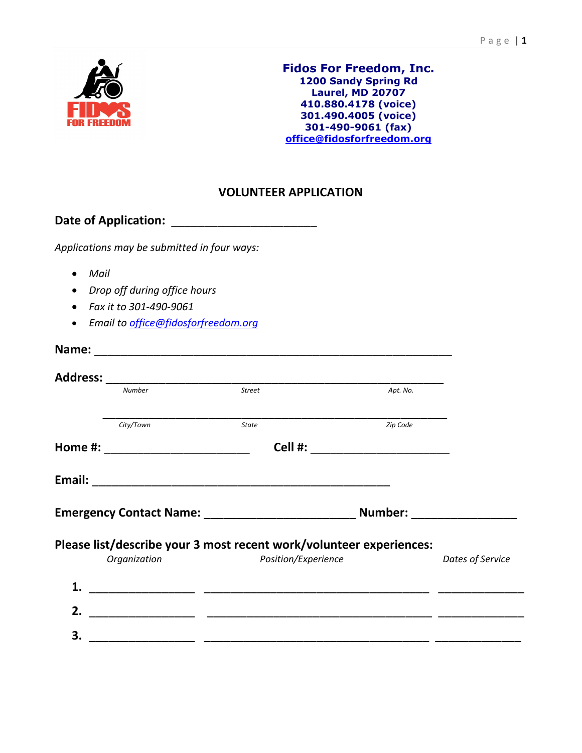

**Fidos For Freedom, Inc. 1200 Sandy Spring Rd Laurel, MD 20707 410.880.4178 (voice) 301.490.4005 (voice) 301-490-9061 (fax) office@fidosforfreedom.org**

# **VOLUNTEER APPLICATION**

|                |                                             | Date of Application: National Property of Application: |                                 |  |
|----------------|---------------------------------------------|--------------------------------------------------------|---------------------------------|--|
|                | Applications may be submitted in four ways: |                                                        |                                 |  |
| $\bullet$ Mail |                                             |                                                        |                                 |  |
|                | • Drop off during office hours              |                                                        |                                 |  |
|                | • Fax it to 301-490-9061                    |                                                        |                                 |  |
|                | • Email to office@fidosforfreedom.org       |                                                        |                                 |  |
|                |                                             |                                                        |                                 |  |
|                |                                             |                                                        |                                 |  |
|                | <b>Number</b>                               | <b>Street</b>                                          | Apt. No.                        |  |
|                |                                             |                                                        |                                 |  |
|                | City/Town                                   | <b>State</b>                                           | Zip Code                        |  |
|                | Home #: _________________________           |                                                        | Cell #: _______________________ |  |
|                |                                             |                                                        |                                 |  |
|                |                                             |                                                        | Number:                         |  |

# **Please list/describe your 3 most recent work/volunteer experiences:**

| Organization | Position/Experience | Dates of Service |
|--------------|---------------------|------------------|
| 1.           |                     |                  |
| 2.           |                     |                  |
| 3.           |                     |                  |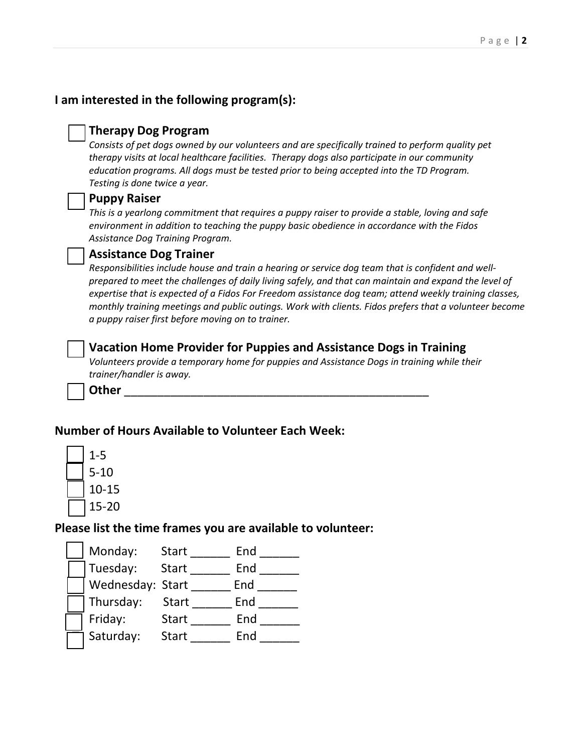## **I am interested in the following program(s):**

## **Therapy Dog Program**

*Consists of pet dogs owned by our volunteers and are specifically trained to perform quality pet therapy visits at local healthcare facilities. Therapy dogs also participate in our community education programs. All dogs must be tested prior to being accepted into the TD Program. Testing is done twice a year.* 

#### **Puppy Raiser**

 *This is a yearlong commitment that requires a puppy raiser to provide a stable, loving and safe environment in addition to teaching the puppy basic obedience in accordance with the Fidos Assistance Dog Training Program.* 



## **Assistance Dog Trainer**

*Responsibilities include house and train a hearing or service dog team that is confident and wellprepared to meet the challenges of daily living safely, and that can maintain and expand the level of expertise that is expected of a Fidos For Freedom assistance dog team; attend weekly training classes, monthly training meetings and public outings. Work with clients. Fidos prefers that a volunteer become a puppy raiser first before moving on to trainer.* 



# **Vacation Home Provider for Puppies and Assistance Dogs in Training**

*Volunteers provide a temporary home for puppies and Assistance Dogs in training while their trainer/handler is away.* 

**Other** \_\_\_\_\_\_\_\_\_\_\_\_\_\_\_\_\_\_\_\_\_\_\_\_\_\_\_\_\_\_\_\_\_\_\_\_\_\_\_\_\_\_\_\_\_\_

## **Number of Hours Available to Volunteer Each Week:**

| -5    |  |
|-------|--|
| 5-10  |  |
| 10-15 |  |
| 15-20 |  |

## **Please list the time frames you are available to volunteer:**

Monday: Start \_\_\_\_\_\_ End \_\_\_\_\_\_ Tuesday: Start \_\_\_\_\_\_ End \_\_\_\_\_\_ Wednesday: Start \_\_\_\_\_\_\_ End \_\_\_\_\_\_ Thursday: Start \_\_\_\_\_\_ End \_\_\_\_\_\_ Friday: Start \_\_\_\_\_\_ End \_\_\_\_\_\_ Saturday: Start \_\_\_\_\_\_ End \_\_\_\_\_\_